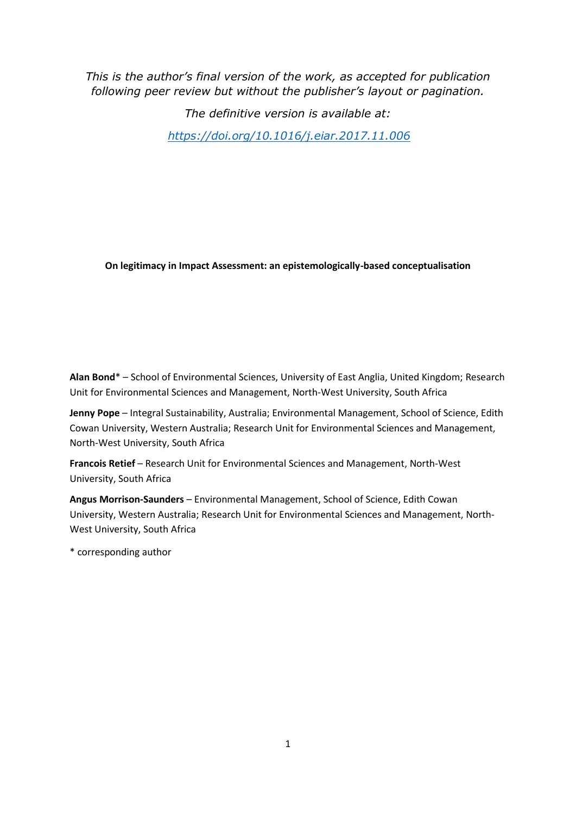*This is the author's final version of the work, as accepted for publication following peer review but without the publisher's layout or pagination.* 

> *The definitive version is available at: [https://doi.org/10.1016/j.eiar.2017.11.006](http://doi.org/10.​1016/​j.​eiar.​2017.​11.​006)*

**On legitimacy in Impact Assessment: an epistemologically-based conceptualisation**

**Alan Bond**\* – School of Environmental Sciences, University of East Anglia, United Kingdom; Research Unit for Environmental Sciences and Management, North-West University, South Africa

**Jenny Pope** – Integral Sustainability, Australia; Environmental Management, School of Science, Edith Cowan University, Western Australia; Research Unit for Environmental Sciences and Management, North-West University, South Africa

**Francois Retief** – Research Unit for Environmental Sciences and Management, North-West University, South Africa

**Angus Morrison-Saunders** – Environmental Management, School of Science, Edith Cowan University, Western Australia; Research Unit for Environmental Sciences and Management, North-West University, South Africa

\* corresponding author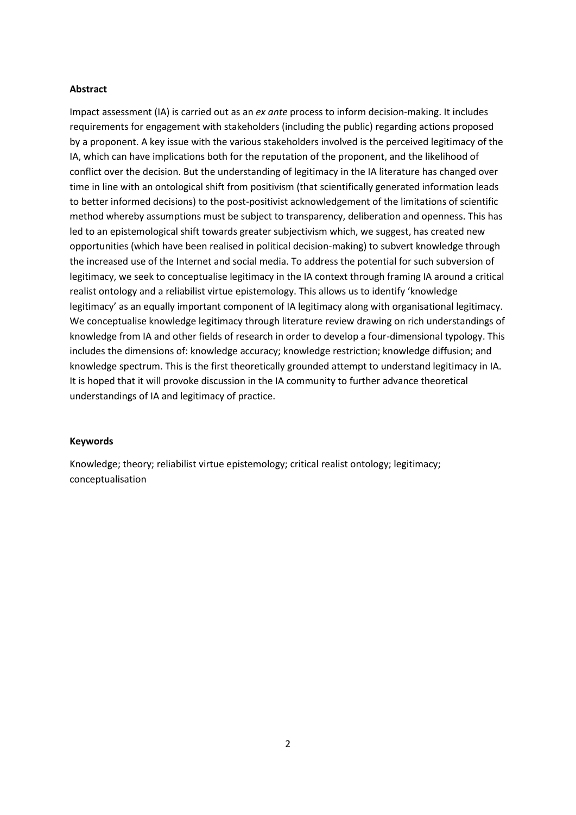## **Abstract**

Impact assessment (IA) is carried out as an *ex ante* process to inform decision-making. It includes requirements for engagement with stakeholders (including the public) regarding actions proposed by a proponent. A key issue with the various stakeholders involved is the perceived legitimacy of the IA, which can have implications both for the reputation of the proponent, and the likelihood of conflict over the decision. But the understanding of legitimacy in the IA literature has changed over time in line with an ontological shift from positivism (that scientifically generated information leads to better informed decisions) to the post-positivist acknowledgement of the limitations of scientific method whereby assumptions must be subject to transparency, deliberation and openness. This has led to an epistemological shift towards greater subjectivism which, we suggest, has created new opportunities (which have been realised in political decision-making) to subvert knowledge through the increased use of the Internet and social media. To address the potential for such subversion of legitimacy, we seek to conceptualise legitimacy in the IA context through framing IA around a critical realist ontology and a reliabilist virtue epistemology. This allows us to identify 'knowledge legitimacy' as an equally important component of IA legitimacy along with organisational legitimacy. We conceptualise knowledge legitimacy through literature review drawing on rich understandings of knowledge from IA and other fields of research in order to develop a four-dimensional typology. This includes the dimensions of: knowledge accuracy; knowledge restriction; knowledge diffusion; and knowledge spectrum. This is the first theoretically grounded attempt to understand legitimacy in IA. It is hoped that it will provoke discussion in the IA community to further advance theoretical understandings of IA and legitimacy of practice.

## **Keywords**

Knowledge; theory; reliabilist virtue epistemology; critical realist ontology; legitimacy; conceptualisation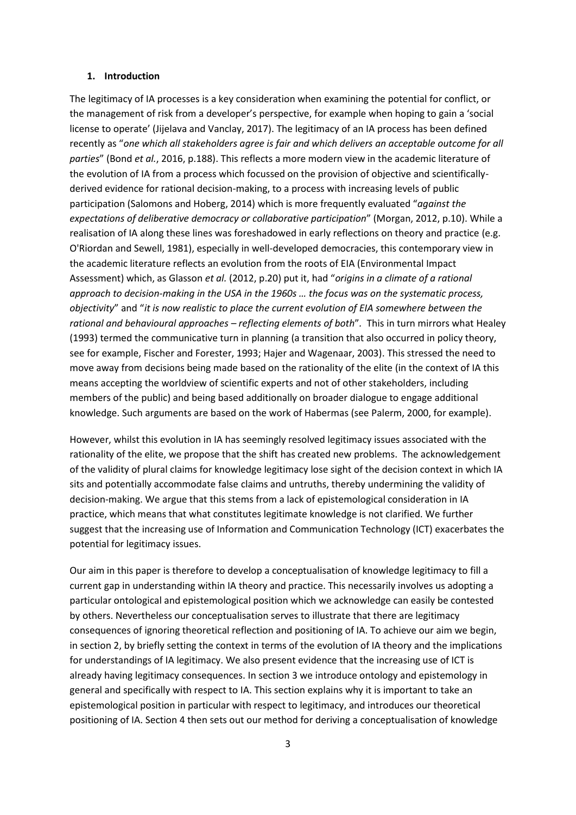#### **1. Introduction**

The legitimacy of IA processes is a key consideration when examining the potential for conflict, or the management of risk from a developer's perspective, for example when hoping to gain a 'social license to operate' (Jijelava and Vanclay, 2017). The legitimacy of an IA process has been defined recently as "*one which all stakeholders agree is fair and which delivers an acceptable outcome for all parties*" (Bond *et al.*, 2016, p.188). This reflects a more modern view in the academic literature of the evolution of IA from a process which focussed on the provision of objective and scientificallyderived evidence for rational decision-making, to a process with increasing levels of public participation (Salomons and Hoberg, 2014) which is more frequently evaluated "*against the expectations of deliberative democracy or collaborative participation*" (Morgan, 2012, p.10). While a realisation of IA along these lines was foreshadowed in early reflections on theory and practice (e.g. O'Riordan and Sewell, 1981), especially in well-developed democracies, this contemporary view in the academic literature reflects an evolution from the roots of EIA (Environmental Impact Assessment) which, as Glasson *et al.* (2012, p.20) put it, had "*origins in a climate of a rational approach to decision-making in the USA in the 1960s … the focus was on the systematic process, objectivity*" and "*it is now realistic to place the current evolution of EIA somewhere between the rational and behavioural approaches – reflecting elements of both*"*.* This in turn mirrors what Healey (1993) termed the communicative turn in planning (a transition that also occurred in policy theory, see for example, Fischer and Forester, 1993; Hajer and Wagenaar, 2003). This stressed the need to move away from decisions being made based on the rationality of the elite (in the context of IA this means accepting the worldview of scientific experts and not of other stakeholders, including members of the public) and being based additionally on broader dialogue to engage additional knowledge. Such arguments are based on the work of Habermas (see Palerm, 2000, for example).

However, whilst this evolution in IA has seemingly resolved legitimacy issues associated with the rationality of the elite, we propose that the shift has created new problems. The acknowledgement of the validity of plural claims for knowledge legitimacy lose sight of the decision context in which IA sits and potentially accommodate false claims and untruths, thereby undermining the validity of decision-making. We argue that this stems from a lack of epistemological consideration in IA practice, which means that what constitutes legitimate knowledge is not clarified. We further suggest that the increasing use of Information and Communication Technology (ICT) exacerbates the potential for legitimacy issues.

Our aim in this paper is therefore to develop a conceptualisation of knowledge legitimacy to fill a current gap in understanding within IA theory and practice. This necessarily involves us adopting a particular ontological and epistemological position which we acknowledge can easily be contested by others. Nevertheless our conceptualisation serves to illustrate that there are legitimacy consequences of ignoring theoretical reflection and positioning of IA. To achieve our aim we begin, in section 2, by briefly setting the context in terms of the evolution of IA theory and the implications for understandings of IA legitimacy. We also present evidence that the increasing use of ICT is already having legitimacy consequences. In section 3 we introduce ontology and epistemology in general and specifically with respect to IA. This section explains why it is important to take an epistemological position in particular with respect to legitimacy, and introduces our theoretical positioning of IA. Section 4 then sets out our method for deriving a conceptualisation of knowledge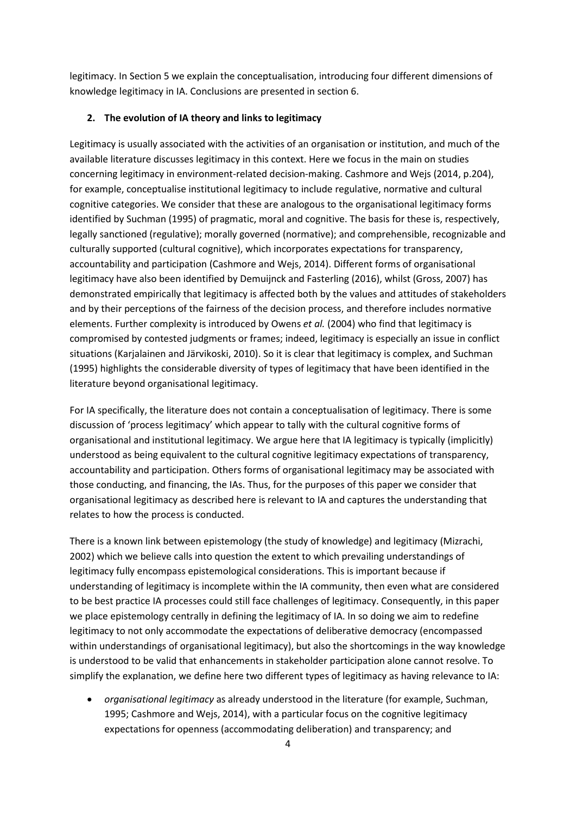legitimacy. In Section 5 we explain the conceptualisation, introducing four different dimensions of knowledge legitimacy in IA. Conclusions are presented in section 6.

## **2. The evolution of IA theory and links to legitimacy**

Legitimacy is usually associated with the activities of an organisation or institution, and much of the available literature discusses legitimacy in this context. Here we focus in the main on studies concerning legitimacy in environment-related decision-making. Cashmore and Wejs (2014, p.204), for example, conceptualise institutional legitimacy to include regulative, normative and cultural cognitive categories. We consider that these are analogous to the organisational legitimacy forms identified by Suchman (1995) of pragmatic, moral and cognitive. The basis for these is, respectively, legally sanctioned (regulative); morally governed (normative); and comprehensible, recognizable and culturally supported (cultural cognitive), which incorporates expectations for transparency, accountability and participation (Cashmore and Wejs, 2014). Different forms of organisational legitimacy have also been identified by Demuijnck and Fasterling (2016), whilst (Gross, 2007) has demonstrated empirically that legitimacy is affected both by the values and attitudes of stakeholders and by their perceptions of the fairness of the decision process, and therefore includes normative elements. Further complexity is introduced by Owens *et al.* (2004) who find that legitimacy is compromised by contested judgments or frames; indeed, legitimacy is especially an issue in conflict situations (Karjalainen and Järvikoski, 2010). So it is clear that legitimacy is complex, and Suchman (1995) highlights the considerable diversity of types of legitimacy that have been identified in the literature beyond organisational legitimacy.

For IA specifically, the literature does not contain a conceptualisation of legitimacy. There is some discussion of 'process legitimacy' which appear to tally with the cultural cognitive forms of organisational and institutional legitimacy. We argue here that IA legitimacy is typically (implicitly) understood as being equivalent to the cultural cognitive legitimacy expectations of transparency, accountability and participation. Others forms of organisational legitimacy may be associated with those conducting, and financing, the IAs. Thus, for the purposes of this paper we consider that organisational legitimacy as described here is relevant to IA and captures the understanding that relates to how the process is conducted.

There is a known link between epistemology (the study of knowledge) and legitimacy (Mizrachi, 2002) which we believe calls into question the extent to which prevailing understandings of legitimacy fully encompass epistemological considerations. This is important because if understanding of legitimacy is incomplete within the IA community, then even what are considered to be best practice IA processes could still face challenges of legitimacy. Consequently, in this paper we place epistemology centrally in defining the legitimacy of IA. In so doing we aim to redefine legitimacy to not only accommodate the expectations of deliberative democracy (encompassed within understandings of organisational legitimacy), but also the shortcomings in the way knowledge is understood to be valid that enhancements in stakeholder participation alone cannot resolve. To simplify the explanation, we define here two different types of legitimacy as having relevance to IA:

 *organisational legitimacy* as already understood in the literature (for example, Suchman, 1995; Cashmore and Wejs, 2014), with a particular focus on the cognitive legitimacy expectations for openness (accommodating deliberation) and transparency; and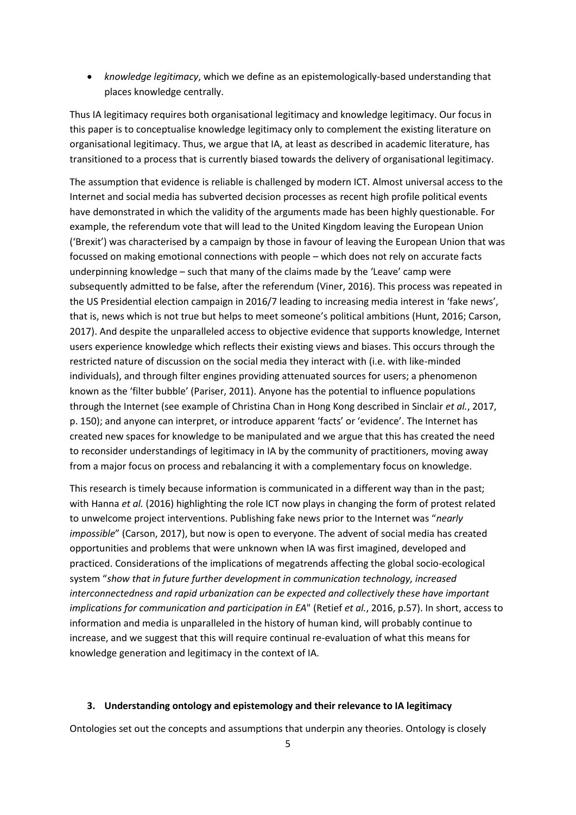*knowledge legitimacy*, which we define as an epistemologically-based understanding that places knowledge centrally.

Thus IA legitimacy requires both organisational legitimacy and knowledge legitimacy. Our focus in this paper is to conceptualise knowledge legitimacy only to complement the existing literature on organisational legitimacy. Thus, we argue that IA, at least as described in academic literature, has transitioned to a process that is currently biased towards the delivery of organisational legitimacy.

The assumption that evidence is reliable is challenged by modern ICT. Almost universal access to the Internet and social media has subverted decision processes as recent high profile political events have demonstrated in which the validity of the arguments made has been highly questionable. For example, the referendum vote that will lead to the United Kingdom leaving the European Union ('Brexit') was characterised by a campaign by those in favour of leaving the European Union that was focussed on making emotional connections with people – which does not rely on accurate facts underpinning knowledge – such that many of the claims made by the 'Leave' camp were subsequently admitted to be false, after the referendum (Viner, 2016). This process was repeated in the US Presidential election campaign in 2016/7 leading to increasing media interest in 'fake news', that is, news which is not true but helps to meet someone's political ambitions (Hunt, 2016; Carson, 2017). And despite the unparalleled access to objective evidence that supports knowledge, Internet users experience knowledge which reflects their existing views and biases. This occurs through the restricted nature of discussion on the social media they interact with (i.e. with like-minded individuals), and through filter engines providing attenuated sources for users; a phenomenon known as the 'filter bubble' (Pariser, 2011). Anyone has the potential to influence populations through the Internet (see example of Christina Chan in Hong Kong described in Sinclair *et al.*, 2017, p. 150); and anyone can interpret, or introduce apparent 'facts' or 'evidence'. The Internet has created new spaces for knowledge to be manipulated and we argue that this has created the need to reconsider understandings of legitimacy in IA by the community of practitioners, moving away from a major focus on process and rebalancing it with a complementary focus on knowledge.

This research is timely because information is communicated in a different way than in the past; with Hanna *et al.* (2016) highlighting the role ICT now plays in changing the form of protest related to unwelcome project interventions. Publishing fake news prior to the Internet was "*nearly impossible*" (Carson, 2017), but now is open to everyone. The advent of social media has created opportunities and problems that were unknown when IA was first imagined, developed and practiced. Considerations of the implications of megatrends affecting the global socio-ecological system "*show that in future further development in communication technology, increased interconnectedness and rapid urbanization can be expected and collectively these have important implications for communication and participation in EA*" (Retief *et al.*, 2016, p.57). In short, access to information and media is unparalleled in the history of human kind, will probably continue to increase, and we suggest that this will require continual re-evaluation of what this means for knowledge generation and legitimacy in the context of IA.

#### **3. Understanding ontology and epistemology and their relevance to IA legitimacy**

Ontologies set out the concepts and assumptions that underpin any theories. Ontology is closely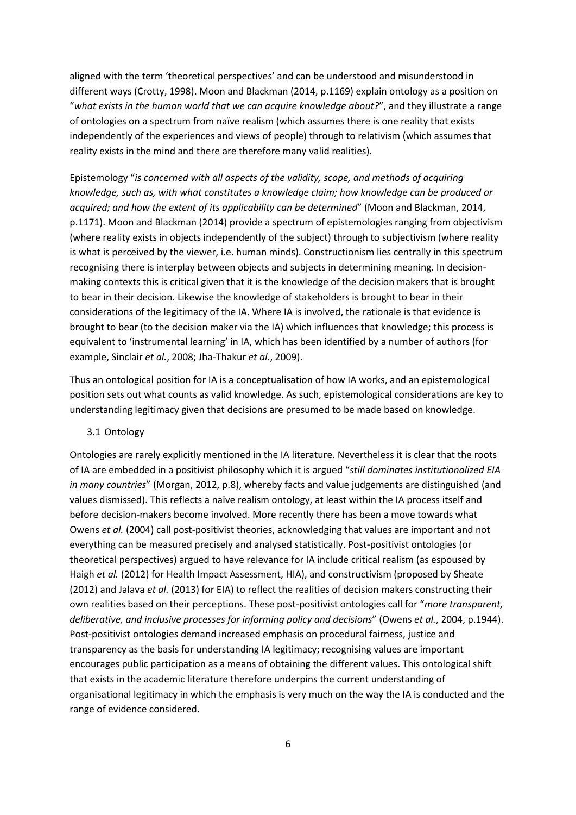aligned with the term 'theoretical perspectives' and can be understood and misunderstood in different ways (Crotty, 1998). Moon and Blackman (2014, p.1169) explain ontology as a position on "*what exists in the human world that we can acquire knowledge about?*", and they illustrate a range of ontologies on a spectrum from naïve realism (which assumes there is one reality that exists independently of the experiences and views of people) through to relativism (which assumes that reality exists in the mind and there are therefore many valid realities).

Epistemology "*is concerned with all aspects of the validity, scope, and methods of acquiring knowledge, such as, with what constitutes a knowledge claim; how knowledge can be produced or acquired; and how the extent of its applicability can be determined*" (Moon and Blackman, 2014, p.1171). Moon and Blackman (2014) provide a spectrum of epistemologies ranging from objectivism (where reality exists in objects independently of the subject) through to subjectivism (where reality is what is perceived by the viewer, i.e. human minds). Constructionism lies centrally in this spectrum recognising there is interplay between objects and subjects in determining meaning. In decisionmaking contexts this is critical given that it is the knowledge of the decision makers that is brought to bear in their decision. Likewise the knowledge of stakeholders is brought to bear in their considerations of the legitimacy of the IA. Where IA is involved, the rationale is that evidence is brought to bear (to the decision maker via the IA) which influences that knowledge; this process is equivalent to 'instrumental learning' in IA, which has been identified by a number of authors (for example, Sinclair *et al.*, 2008; Jha-Thakur *et al.*, 2009).

Thus an ontological position for IA is a conceptualisation of how IA works, and an epistemological position sets out what counts as valid knowledge. As such, epistemological considerations are key to understanding legitimacy given that decisions are presumed to be made based on knowledge.

## 3.1 Ontology

Ontologies are rarely explicitly mentioned in the IA literature. Nevertheless it is clear that the roots of IA are embedded in a positivist philosophy which it is argued "*still dominates institutionalized EIA in many countries*" (Morgan, 2012, p.8), whereby facts and value judgements are distinguished (and values dismissed). This reflects a naïve realism ontology, at least within the IA process itself and before decision-makers become involved. More recently there has been a move towards what Owens *et al.* (2004) call post-positivist theories, acknowledging that values are important and not everything can be measured precisely and analysed statistically. Post-positivist ontologies (or theoretical perspectives) argued to have relevance for IA include critical realism (as espoused by Haigh *et al.* (2012) for Health Impact Assessment, HIA), and constructivism (proposed by Sheate (2012) and Jalava *et al.* (2013) for EIA) to reflect the realities of decision makers constructing their own realities based on their perceptions. These post-positivist ontologies call for "*more transparent, deliberative, and inclusive processes for informing policy and decisions*" (Owens *et al.*, 2004, p.1944). Post-positivist ontologies demand increased emphasis on procedural fairness, justice and transparency as the basis for understanding IA legitimacy; recognising values are important encourages public participation as a means of obtaining the different values. This ontological shift that exists in the academic literature therefore underpins the current understanding of organisational legitimacy in which the emphasis is very much on the way the IA is conducted and the range of evidence considered.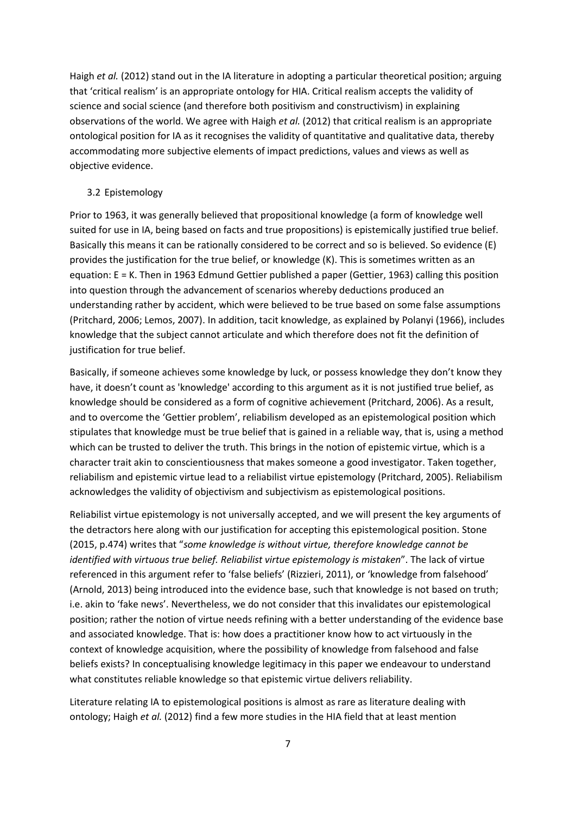Haigh *et al.* (2012) stand out in the IA literature in adopting a particular theoretical position; arguing that 'critical realism' is an appropriate ontology for HIA. Critical realism accepts the validity of science and social science (and therefore both positivism and constructivism) in explaining observations of the world. We agree with Haigh *et al.* (2012) that critical realism is an appropriate ontological position for IA as it recognises the validity of quantitative and qualitative data, thereby accommodating more subjective elements of impact predictions, values and views as well as objective evidence.

## 3.2 Epistemology

Prior to 1963, it was generally believed that propositional knowledge (a form of knowledge well suited for use in IA, being based on facts and true propositions) is epistemically justified true belief. Basically this means it can be rationally considered to be correct and so is believed. So evidence (E) provides the justification for the true belief, or knowledge (K). This is sometimes written as an equation: E = K. Then in 1963 Edmund Gettier published a paper (Gettier, 1963) calling this position into question through the advancement of scenarios whereby deductions produced an understanding rather by accident, which were believed to be true based on some false assumptions (Pritchard, 2006; Lemos, 2007). In addition, tacit knowledge, as explained by Polanyi (1966), includes knowledge that the subject cannot articulate and which therefore does not fit the definition of justification for true belief.

Basically, if someone achieves some knowledge by luck, or possess knowledge they don't know they have, it doesn't count as 'knowledge' according to this argument as it is not justified true belief, as knowledge should be considered as a form of cognitive achievement (Pritchard, 2006). As a result, and to overcome the 'Gettier problem', reliabilism developed as an epistemological position which stipulates that knowledge must be true belief that is gained in a reliable way, that is, using a method which can be trusted to deliver the truth. This brings in the notion of epistemic virtue, which is a character trait akin to conscientiousness that makes someone a good investigator. Taken together, reliabilism and epistemic virtue lead to a reliabilist virtue epistemology (Pritchard, 2005). Reliabilism acknowledges the validity of objectivism and subjectivism as epistemological positions.

Reliabilist virtue epistemology is not universally accepted, and we will present the key arguments of the detractors here along with our justification for accepting this epistemological position. Stone (2015, p.474) writes that "*some knowledge is without virtue, therefore knowledge cannot be identified with virtuous true belief. Reliabilist virtue epistemology is mistaken*". The lack of virtue referenced in this argument refer to 'false beliefs' (Rizzieri, 2011), or 'knowledge from falsehood' (Arnold, 2013) being introduced into the evidence base, such that knowledge is not based on truth; i.e. akin to 'fake news'. Nevertheless, we do not consider that this invalidates our epistemological position; rather the notion of virtue needs refining with a better understanding of the evidence base and associated knowledge. That is: how does a practitioner know how to act virtuously in the context of knowledge acquisition, where the possibility of knowledge from falsehood and false beliefs exists? In conceptualising knowledge legitimacy in this paper we endeavour to understand what constitutes reliable knowledge so that epistemic virtue delivers reliability.

Literature relating IA to epistemological positions is almost as rare as literature dealing with ontology; Haigh *et al.* (2012) find a few more studies in the HIA field that at least mention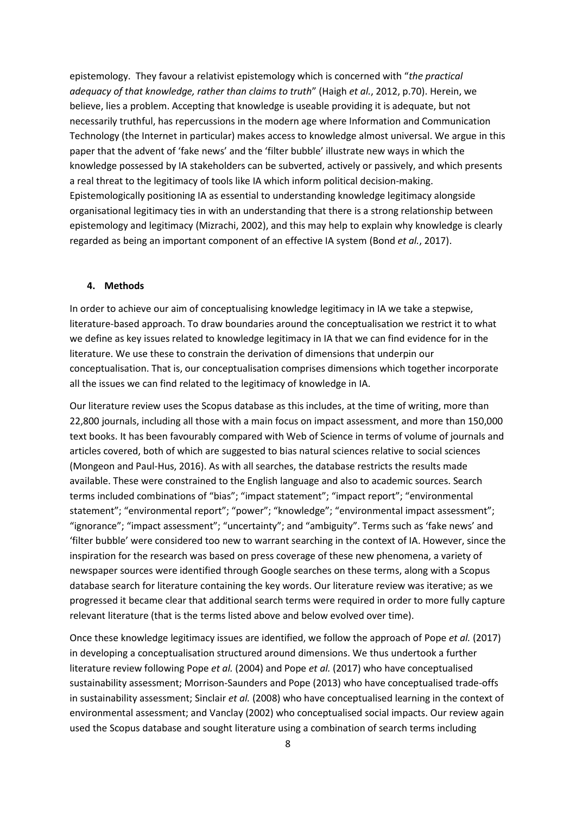epistemology. They favour a relativist epistemology which is concerned with "*the practical adequacy of that knowledge, rather than claims to truth*" (Haigh *et al.*, 2012, p.70). Herein, we believe, lies a problem. Accepting that knowledge is useable providing it is adequate, but not necessarily truthful, has repercussions in the modern age where Information and Communication Technology (the Internet in particular) makes access to knowledge almost universal. We argue in this paper that the advent of 'fake news' and the 'filter bubble' illustrate new ways in which the knowledge possessed by IA stakeholders can be subverted, actively or passively, and which presents a real threat to the legitimacy of tools like IA which inform political decision-making. Epistemologically positioning IA as essential to understanding knowledge legitimacy alongside organisational legitimacy ties in with an understanding that there is a strong relationship between epistemology and legitimacy (Mizrachi, 2002), and this may help to explain why knowledge is clearly regarded as being an important component of an effective IA system (Bond *et al.*, 2017).

#### **4. Methods**

In order to achieve our aim of conceptualising knowledge legitimacy in IA we take a stepwise, literature-based approach. To draw boundaries around the conceptualisation we restrict it to what we define as key issues related to knowledge legitimacy in IA that we can find evidence for in the literature. We use these to constrain the derivation of dimensions that underpin our conceptualisation. That is, our conceptualisation comprises dimensions which together incorporate all the issues we can find related to the legitimacy of knowledge in IA.

Our literature review uses the Scopus database as this includes, at the time of writing, more than 22,800 journals, including all those with a main focus on impact assessment, and more than 150,000 text books. It has been favourably compared with Web of Science in terms of volume of journals and articles covered, both of which are suggested to bias natural sciences relative to social sciences (Mongeon and Paul-Hus, 2016). As with all searches, the database restricts the results made available. These were constrained to the English language and also to academic sources. Search terms included combinations of "bias"; "impact statement"; "impact report"; "environmental statement"; "environmental report"; "power"; "knowledge"; "environmental impact assessment"; "ignorance"; "impact assessment"; "uncertainty"; and "ambiguity". Terms such as 'fake news' and 'filter bubble' were considered too new to warrant searching in the context of IA. However, since the inspiration for the research was based on press coverage of these new phenomena, a variety of newspaper sources were identified through Google searches on these terms, along with a Scopus database search for literature containing the key words. Our literature review was iterative; as we progressed it became clear that additional search terms were required in order to more fully capture relevant literature (that is the terms listed above and below evolved over time).

Once these knowledge legitimacy issues are identified, we follow the approach of Pope *et al.* (2017) in developing a conceptualisation structured around dimensions. We thus undertook a further literature review following Pope *et al.* (2004) and Pope *et al.* (2017) who have conceptualised sustainability assessment; Morrison-Saunders and Pope (2013) who have conceptualised trade-offs in sustainability assessment; Sinclair *et al.* (2008) who have conceptualised learning in the context of environmental assessment; and Vanclay (2002) who conceptualised social impacts. Our review again used the Scopus database and sought literature using a combination of search terms including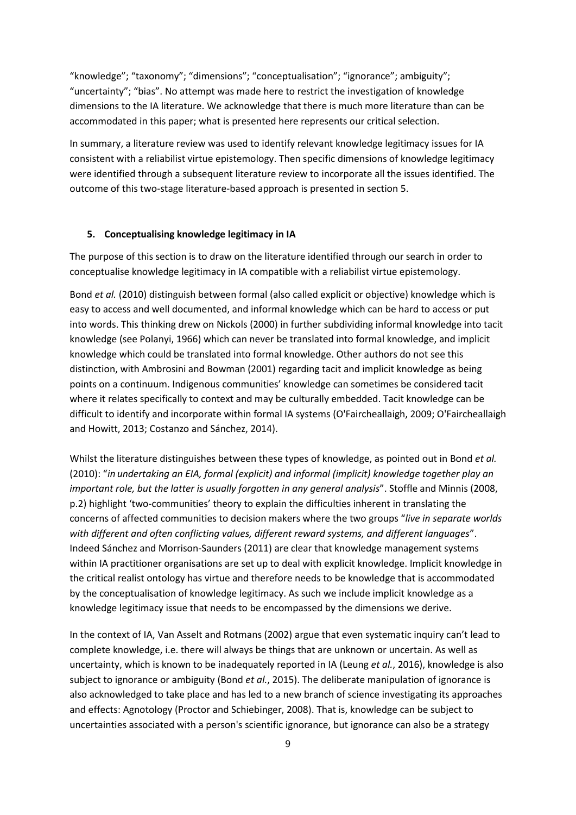"knowledge"; "taxonomy"; "dimensions"; "conceptualisation"; "ignorance"; ambiguity"; "uncertainty"; "bias". No attempt was made here to restrict the investigation of knowledge dimensions to the IA literature. We acknowledge that there is much more literature than can be accommodated in this paper; what is presented here represents our critical selection.

In summary, a literature review was used to identify relevant knowledge legitimacy issues for IA consistent with a reliabilist virtue epistemology. Then specific dimensions of knowledge legitimacy were identified through a subsequent literature review to incorporate all the issues identified. The outcome of this two-stage literature-based approach is presented in section 5.

## **5. Conceptualising knowledge legitimacy in IA**

The purpose of this section is to draw on the literature identified through our search in order to conceptualise knowledge legitimacy in IA compatible with a reliabilist virtue epistemology.

Bond *et al.* (2010) distinguish between formal (also called explicit or objective) knowledge which is easy to access and well documented, and informal knowledge which can be hard to access or put into words. This thinking drew on Nickols (2000) in further subdividing informal knowledge into tacit knowledge (see Polanyi, 1966) which can never be translated into formal knowledge, and implicit knowledge which could be translated into formal knowledge. Other authors do not see this distinction, with Ambrosini and Bowman (2001) regarding tacit and implicit knowledge as being points on a continuum. Indigenous communities' knowledge can sometimes be considered tacit where it relates specifically to context and may be culturally embedded. Tacit knowledge can be difficult to identify and incorporate within formal IA systems (O'Faircheallaigh, 2009; O'Faircheallaigh and Howitt, 2013; Costanzo and Sánchez, 2014).

Whilst the literature distinguishes between these types of knowledge, as pointed out in Bond *et al.* (2010): "*in undertaking an EIA, formal (explicit) and informal (implicit) knowledge together play an important role, but the latter is usually forgotten in any general analysis*". Stoffle and Minnis (2008, p.2) highlight 'two-communities' theory to explain the difficulties inherent in translating the concerns of affected communities to decision makers where the two groups "*live in separate worlds with different and often conflicting values, different reward systems, and different languages*". Indeed Sánchez and Morrison-Saunders (2011) are clear that knowledge management systems within IA practitioner organisations are set up to deal with explicit knowledge. Implicit knowledge in the critical realist ontology has virtue and therefore needs to be knowledge that is accommodated by the conceptualisation of knowledge legitimacy. As such we include implicit knowledge as a knowledge legitimacy issue that needs to be encompassed by the dimensions we derive.

In the context of IA, Van Asselt and Rotmans (2002) argue that even systematic inquiry can't lead to complete knowledge, i.e. there will always be things that are unknown or uncertain. As well as uncertainty, which is known to be inadequately reported in IA (Leung *et al.*, 2016), knowledge is also subject to ignorance or ambiguity (Bond *et al.*, 2015). The deliberate manipulation of ignorance is also acknowledged to take place and has led to a new branch of science investigating its approaches and effects: Agnotology (Proctor and Schiebinger, 2008). That is, knowledge can be subject to uncertainties associated with a person's scientific ignorance, but ignorance can also be a strategy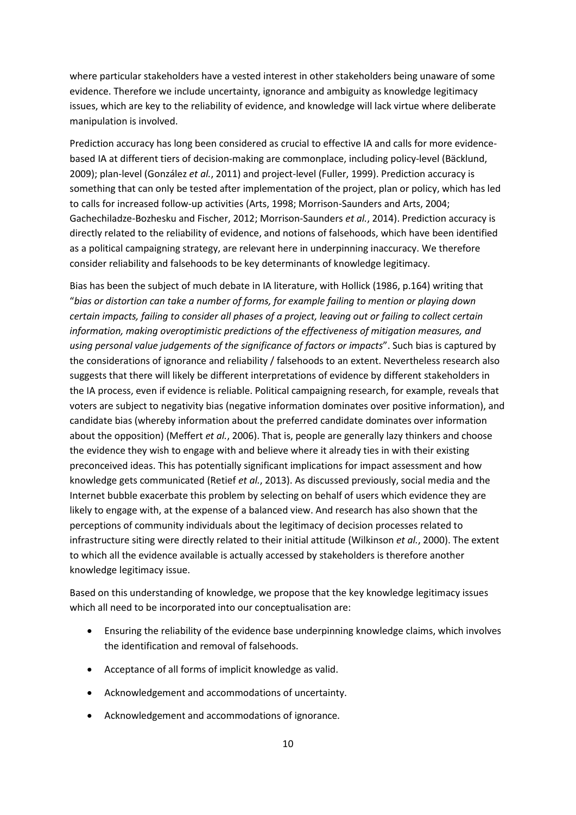where particular stakeholders have a vested interest in other stakeholders being unaware of some evidence. Therefore we include uncertainty, ignorance and ambiguity as knowledge legitimacy issues, which are key to the reliability of evidence, and knowledge will lack virtue where deliberate manipulation is involved.

Prediction accuracy has long been considered as crucial to effective IA and calls for more evidencebased IA at different tiers of decision-making are commonplace, including policy-level (Bäcklund, 2009); plan-level (González *et al.*, 2011) and project-level (Fuller, 1999). Prediction accuracy is something that can only be tested after implementation of the project, plan or policy, which has led to calls for increased follow-up activities (Arts, 1998; Morrison-Saunders and Arts, 2004; Gachechiladze-Bozhesku and Fischer, 2012; Morrison-Saunders *et al.*, 2014). Prediction accuracy is directly related to the reliability of evidence, and notions of falsehoods, which have been identified as a political campaigning strategy, are relevant here in underpinning inaccuracy. We therefore consider reliability and falsehoods to be key determinants of knowledge legitimacy.

Bias has been the subject of much debate in IA literature, with Hollick (1986, p.164) writing that "*bias or distortion can take a number of forms, for example failing to mention or playing down certain impacts, failing to consider all phases of a project, leaving out or failing to collect certain information, making overoptimistic predictions of the effectiveness of mitigation measures, and using personal value judgements of the significance of factors or impacts*". Such bias is captured by the considerations of ignorance and reliability / falsehoods to an extent. Nevertheless research also suggests that there will likely be different interpretations of evidence by different stakeholders in the IA process, even if evidence is reliable. Political campaigning research, for example, reveals that voters are subject to negativity bias (negative information dominates over positive information), and candidate bias (whereby information about the preferred candidate dominates over information about the opposition) (Meffert *et al.*, 2006). That is, people are generally lazy thinkers and choose the evidence they wish to engage with and believe where it already ties in with their existing preconceived ideas. This has potentially significant implications for impact assessment and how knowledge gets communicated (Retief *et al.*, 2013). As discussed previously, social media and the Internet bubble exacerbate this problem by selecting on behalf of users which evidence they are likely to engage with, at the expense of a balanced view. And research has also shown that the perceptions of community individuals about the legitimacy of decision processes related to infrastructure siting were directly related to their initial attitude (Wilkinson *et al.*, 2000). The extent to which all the evidence available is actually accessed by stakeholders is therefore another knowledge legitimacy issue.

Based on this understanding of knowledge, we propose that the key knowledge legitimacy issues which all need to be incorporated into our conceptualisation are:

- Ensuring the reliability of the evidence base underpinning knowledge claims, which involves the identification and removal of falsehoods.
- Acceptance of all forms of implicit knowledge as valid.
- Acknowledgement and accommodations of uncertainty.
- Acknowledgement and accommodations of ignorance.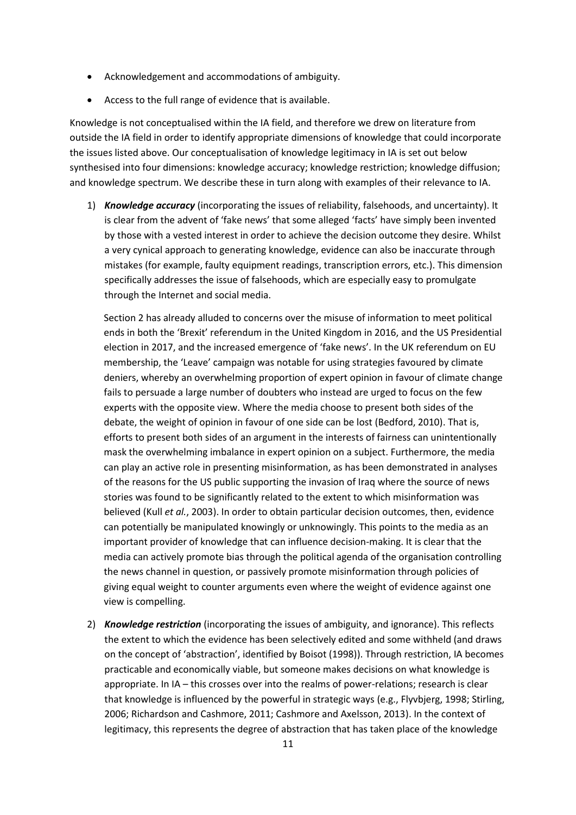- Acknowledgement and accommodations of ambiguity.
- Access to the full range of evidence that is available.

Knowledge is not conceptualised within the IA field, and therefore we drew on literature from outside the IA field in order to identify appropriate dimensions of knowledge that could incorporate the issues listed above. Our conceptualisation of knowledge legitimacy in IA is set out below synthesised into four dimensions: knowledge accuracy; knowledge restriction; knowledge diffusion; and knowledge spectrum. We describe these in turn along with examples of their relevance to IA.

1) *Knowledge accuracy* (incorporating the issues of reliability, falsehoods, and uncertainty). It is clear from the advent of 'fake news' that some alleged 'facts' have simply been invented by those with a vested interest in order to achieve the decision outcome they desire. Whilst a very cynical approach to generating knowledge, evidence can also be inaccurate through mistakes (for example, faulty equipment readings, transcription errors, etc.). This dimension specifically addresses the issue of falsehoods, which are especially easy to promulgate through the Internet and social media.

Section 2 has already alluded to concerns over the misuse of information to meet political ends in both the 'Brexit' referendum in the United Kingdom in 2016, and the US Presidential election in 2017, and the increased emergence of 'fake news'. In the UK referendum on EU membership, the 'Leave' campaign was notable for using strategies favoured by climate deniers, whereby an overwhelming proportion of expert opinion in favour of climate change fails to persuade a large number of doubters who instead are urged to focus on the few experts with the opposite view. Where the media choose to present both sides of the debate, the weight of opinion in favour of one side can be lost (Bedford, 2010). That is, efforts to present both sides of an argument in the interests of fairness can unintentionally mask the overwhelming imbalance in expert opinion on a subject. Furthermore, the media can play an active role in presenting misinformation, as has been demonstrated in analyses of the reasons for the US public supporting the invasion of Iraq where the source of news stories was found to be significantly related to the extent to which misinformation was believed (Kull *et al.*, 2003). In order to obtain particular decision outcomes, then, evidence can potentially be manipulated knowingly or unknowingly. This points to the media as an important provider of knowledge that can influence decision-making. It is clear that the media can actively promote bias through the political agenda of the organisation controlling the news channel in question, or passively promote misinformation through policies of giving equal weight to counter arguments even where the weight of evidence against one view is compelling.

2) *Knowledge restriction* (incorporating the issues of ambiguity, and ignorance). This reflects the extent to which the evidence has been selectively edited and some withheld (and draws on the concept of 'abstraction', identified by Boisot (1998)). Through restriction, IA becomes practicable and economically viable, but someone makes decisions on what knowledge is appropriate. In IA – this crosses over into the realms of power-relations; research is clear that knowledge is influenced by the powerful in strategic ways (e.g., Flyvbjerg, 1998; Stirling, 2006; Richardson and Cashmore, 2011; Cashmore and Axelsson, 2013). In the context of legitimacy, this represents the degree of abstraction that has taken place of the knowledge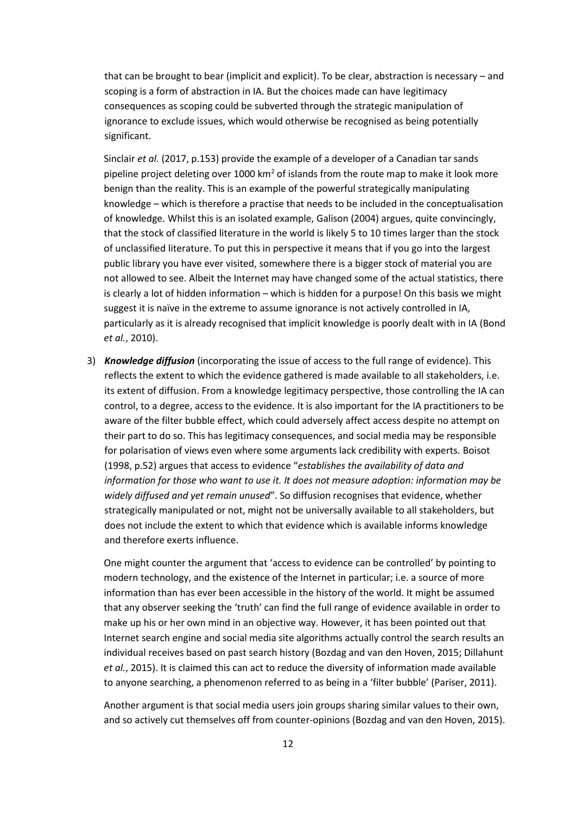that can be brought to bear (implicit and explicit). To be clear, abstraction is necessary – and scoping is a form of abstraction in IA. But the choices made can have legitimacy consequences as scoping could be subverted through the strategic manipulation of ignorance to exclude issues, which would otherwise be recognised as being potentially significant.

Sinclair *et al.* (2017, p.153) provide the example of a developer of a Canadian tar sands pipeline project deleting over 1000 km<sup>2</sup> of islands from the route map to make it look more benign than the reality. This is an example of the powerful strategically manipulating knowledge – which is therefore a practise that needs to be included in the conceptualisation of knowledge. Whilst this is an isolated example, Galison (2004) argues, quite convincingly, that the stock of classified literature in the world is likely 5 to 10 times larger than the stock of unclassified literature. To put this in perspective it means that if you go into the largest public library you have ever visited, somewhere there is a bigger stock of material you are not allowed to see. Albeit the Internet may have changed some of the actual statistics, there is clearly a lot of hidden information – which is hidden for a purpose! On this basis we might suggest it is naïve in the extreme to assume ignorance is not actively controlled in IA, particularly as it is already recognised that implicit knowledge is poorly dealt with in IA (Bond *et al.*, 2010).

3) *Knowledge diffusion* (incorporating the issue of access to the full range of evidence). This reflects the extent to which the evidence gathered is made available to all stakeholders, i.e. its extent of diffusion. From a knowledge legitimacy perspective, those controlling the IA can control, to a degree, access to the evidence. It is also important for the IA practitioners to be aware of the filter bubble effect, which could adversely affect access despite no attempt on their part to do so. This has legitimacy consequences, and social media may be responsible for polarisation of views even where some arguments lack credibility with experts. Boisot (1998, p.52) argues that access to evidence "*establishes the availability of data and information for those who want to use it. It does not measure adoption: information may be widely diffused and yet remain unused*". So diffusion recognises that evidence, whether strategically manipulated or not, might not be universally available to all stakeholders, but does not include the extent to which that evidence which is available informs knowledge and therefore exerts influence.

One might counter the argument that 'access to evidence can be controlled' by pointing to modern technology, and the existence of the Internet in particular; i.e. a source of more information than has ever been accessible in the history of the world. It might be assumed that any observer seeking the 'truth' can find the full range of evidence available in order to make up his or her own mind in an objective way. However, it has been pointed out that Internet search engine and social media site algorithms actually control the search results an individual receives based on past search history (Bozdag and van den Hoven, 2015; Dillahunt *et al.*, 2015). It is claimed this can act to reduce the diversity of information made available to anyone searching, a phenomenon referred to as being in a 'filter bubble' (Pariser, 2011).

Another argument is that social media users join groups sharing similar values to their own, and so actively cut themselves off from counter-opinions (Bozdag and van den Hoven, 2015).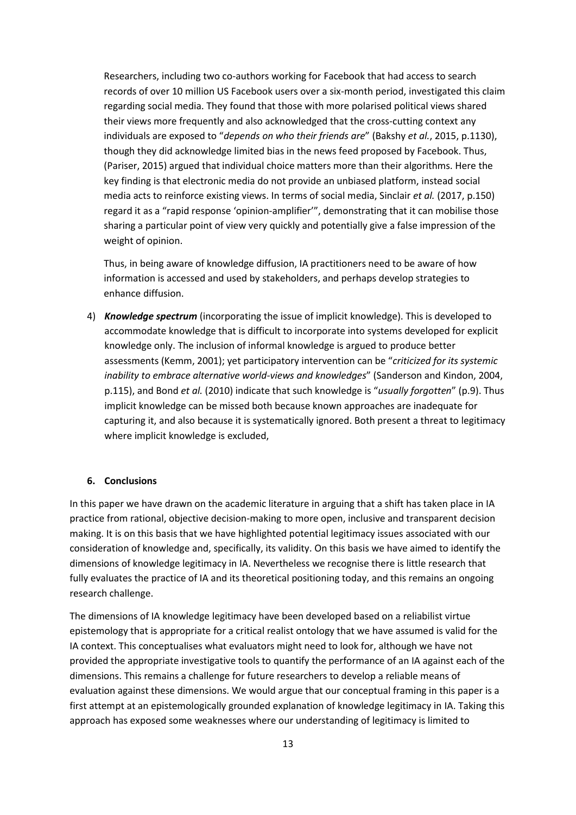Researchers, including two co-authors working for Facebook that had access to search records of over 10 million US Facebook users over a six-month period, investigated this claim regarding social media. They found that those with more polarised political views shared their views more frequently and also acknowledged that the cross-cutting context any individuals are exposed to "*depends on who their friends are*" (Bakshy *et al.*, 2015, p.1130), though they did acknowledge limited bias in the news feed proposed by Facebook. Thus, (Pariser, 2015) argued that individual choice matters more than their algorithms. Here the key finding is that electronic media do not provide an unbiased platform, instead social media acts to reinforce existing views. In terms of social media, Sinclair *et al.* (2017, p.150) regard it as a "rapid response 'opinion-amplifier'", demonstrating that it can mobilise those sharing a particular point of view very quickly and potentially give a false impression of the weight of opinion.

Thus, in being aware of knowledge diffusion, IA practitioners need to be aware of how information is accessed and used by stakeholders, and perhaps develop strategies to enhance diffusion.

4) *Knowledge spectrum* (incorporating the issue of implicit knowledge). This is developed to accommodate knowledge that is difficult to incorporate into systems developed for explicit knowledge only. The inclusion of informal knowledge is argued to produce better assessments (Kemm, 2001); yet participatory intervention can be "*criticized for its systemic inability to embrace alternative world-views and knowledges*" (Sanderson and Kindon, 2004, p.115), and Bond *et al.* (2010) indicate that such knowledge is "*usually forgotten*" (p.9). Thus implicit knowledge can be missed both because known approaches are inadequate for capturing it, and also because it is systematically ignored. Both present a threat to legitimacy where implicit knowledge is excluded,

## **6. Conclusions**

In this paper we have drawn on the academic literature in arguing that a shift has taken place in IA practice from rational, objective decision-making to more open, inclusive and transparent decision making. It is on this basis that we have highlighted potential legitimacy issues associated with our consideration of knowledge and, specifically, its validity. On this basis we have aimed to identify the dimensions of knowledge legitimacy in IA. Nevertheless we recognise there is little research that fully evaluates the practice of IA and its theoretical positioning today, and this remains an ongoing research challenge.

The dimensions of IA knowledge legitimacy have been developed based on a reliabilist virtue epistemology that is appropriate for a critical realist ontology that we have assumed is valid for the IA context. This conceptualises what evaluators might need to look for, although we have not provided the appropriate investigative tools to quantify the performance of an IA against each of the dimensions. This remains a challenge for future researchers to develop a reliable means of evaluation against these dimensions. We would argue that our conceptual framing in this paper is a first attempt at an epistemologically grounded explanation of knowledge legitimacy in IA. Taking this approach has exposed some weaknesses where our understanding of legitimacy is limited to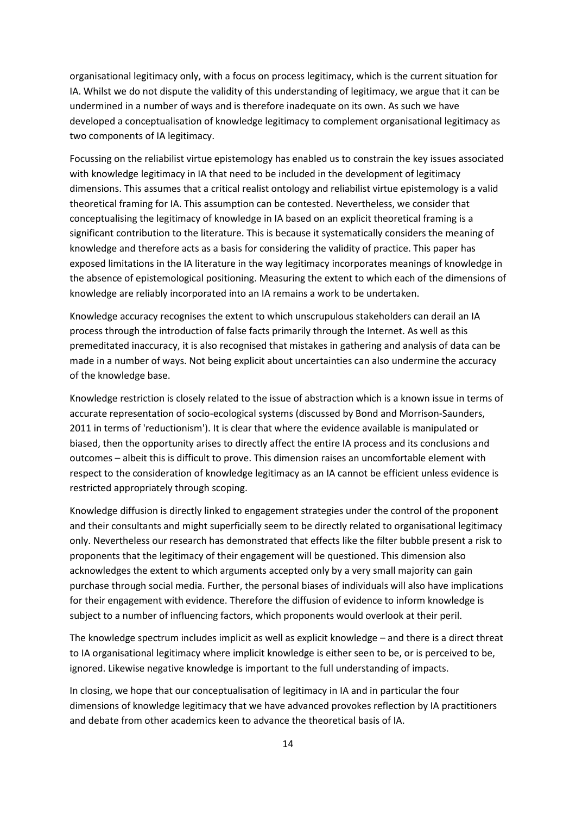organisational legitimacy only, with a focus on process legitimacy, which is the current situation for IA. Whilst we do not dispute the validity of this understanding of legitimacy, we argue that it can be undermined in a number of ways and is therefore inadequate on its own. As such we have developed a conceptualisation of knowledge legitimacy to complement organisational legitimacy as two components of IA legitimacy.

Focussing on the reliabilist virtue epistemology has enabled us to constrain the key issues associated with knowledge legitimacy in IA that need to be included in the development of legitimacy dimensions. This assumes that a critical realist ontology and reliabilist virtue epistemology is a valid theoretical framing for IA. This assumption can be contested. Nevertheless, we consider that conceptualising the legitimacy of knowledge in IA based on an explicit theoretical framing is a significant contribution to the literature. This is because it systematically considers the meaning of knowledge and therefore acts as a basis for considering the validity of practice. This paper has exposed limitations in the IA literature in the way legitimacy incorporates meanings of knowledge in the absence of epistemological positioning. Measuring the extent to which each of the dimensions of knowledge are reliably incorporated into an IA remains a work to be undertaken.

Knowledge accuracy recognises the extent to which unscrupulous stakeholders can derail an IA process through the introduction of false facts primarily through the Internet. As well as this premeditated inaccuracy, it is also recognised that mistakes in gathering and analysis of data can be made in a number of ways. Not being explicit about uncertainties can also undermine the accuracy of the knowledge base.

Knowledge restriction is closely related to the issue of abstraction which is a known issue in terms of accurate representation of socio-ecological systems (discussed by Bond and Morrison-Saunders, 2011 in terms of 'reductionism'). It is clear that where the evidence available is manipulated or biased, then the opportunity arises to directly affect the entire IA process and its conclusions and outcomes – albeit this is difficult to prove. This dimension raises an uncomfortable element with respect to the consideration of knowledge legitimacy as an IA cannot be efficient unless evidence is restricted appropriately through scoping.

Knowledge diffusion is directly linked to engagement strategies under the control of the proponent and their consultants and might superficially seem to be directly related to organisational legitimacy only. Nevertheless our research has demonstrated that effects like the filter bubble present a risk to proponents that the legitimacy of their engagement will be questioned. This dimension also acknowledges the extent to which arguments accepted only by a very small majority can gain purchase through social media. Further, the personal biases of individuals will also have implications for their engagement with evidence. Therefore the diffusion of evidence to inform knowledge is subject to a number of influencing factors, which proponents would overlook at their peril.

The knowledge spectrum includes implicit as well as explicit knowledge – and there is a direct threat to IA organisational legitimacy where implicit knowledge is either seen to be, or is perceived to be, ignored. Likewise negative knowledge is important to the full understanding of impacts.

In closing, we hope that our conceptualisation of legitimacy in IA and in particular the four dimensions of knowledge legitimacy that we have advanced provokes reflection by IA practitioners and debate from other academics keen to advance the theoretical basis of IA.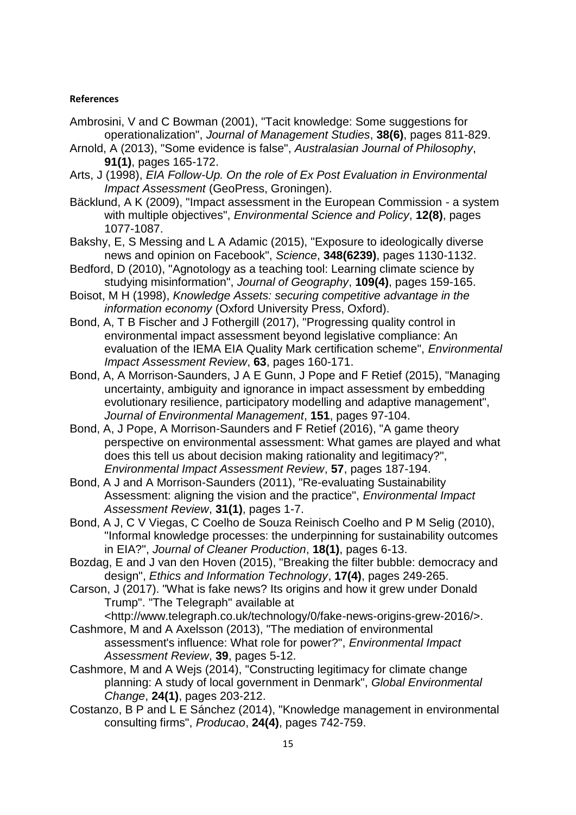# **References**

- Ambrosini, V and C Bowman (2001), "Tacit knowledge: Some suggestions for operationalization", *Journal of Management Studies*, **38(6)**, pages 811-829.
- Arnold, A (2013), "Some evidence is false", *Australasian Journal of Philosophy*, **91(1)**, pages 165-172.
- Arts, J (1998), *EIA Follow-Up. On the role of Ex Post Evaluation in Environmental Impact Assessment* (GeoPress, Groningen).
- Bäcklund, A K (2009), "Impact assessment in the European Commission a system with multiple objectives", *Environmental Science and Policy*, **12(8)**, pages 1077-1087.
- Bakshy, E, S Messing and L A Adamic (2015), "Exposure to ideologically diverse news and opinion on Facebook", *Science*, **348(6239)**, pages 1130-1132.
- Bedford, D (2010), "Agnotology as a teaching tool: Learning climate science by studying misinformation", *Journal of Geography*, **109(4)**, pages 159-165.
- Boisot, M H (1998), *Knowledge Assets: securing competitive advantage in the information economy* (Oxford University Press, Oxford).
- Bond, A, T B Fischer and J Fothergill (2017), "Progressing quality control in environmental impact assessment beyond legislative compliance: An evaluation of the IEMA EIA Quality Mark certification scheme", *Environmental Impact Assessment Review*, **63**, pages 160-171.
- Bond, A, A Morrison-Saunders, J A E Gunn, J Pope and F Retief (2015), "Managing uncertainty, ambiguity and ignorance in impact assessment by embedding evolutionary resilience, participatory modelling and adaptive management", *Journal of Environmental Management*, **151**, pages 97-104.
- Bond, A, J Pope, A Morrison-Saunders and F Retief (2016), "A game theory perspective on environmental assessment: What games are played and what does this tell us about decision making rationality and legitimacy?", *Environmental Impact Assessment Review*, **57**, pages 187-194.
- Bond, A J and A Morrison-Saunders (2011), "Re-evaluating Sustainability Assessment: aligning the vision and the practice", *Environmental Impact Assessment Review*, **31(1)**, pages 1-7.
- Bond, A J, C V Viegas, C Coelho de Souza Reinisch Coelho and P M Selig (2010), "Informal knowledge processes: the underpinning for sustainability outcomes in EIA?", *Journal of Cleaner Production*, **18(1)**, pages 6-13.
- Bozdag, E and J van den Hoven (2015), "Breaking the filter bubble: democracy and design", *Ethics and Information Technology*, **17(4)**, pages 249-265.
- Carson, J (2017). "What is fake news? Its origins and how it grew under Donald Trump". "The Telegraph" available at

<http://www.telegraph.co.uk/technology/0/fake-news-origins-grew-2016/>.

- Cashmore, M and A Axelsson (2013), "The mediation of environmental assessment's influence: What role for power?", *Environmental Impact Assessment Review*, **39**, pages 5-12.
- Cashmore, M and A Wejs (2014), "Constructing legitimacy for climate change planning: A study of local government in Denmark", *Global Environmental Change*, **24(1)**, pages 203-212.
- Costanzo, B P and L E Sánchez (2014), "Knowledge management in environmental consulting firms", *Producao*, **24(4)**, pages 742-759.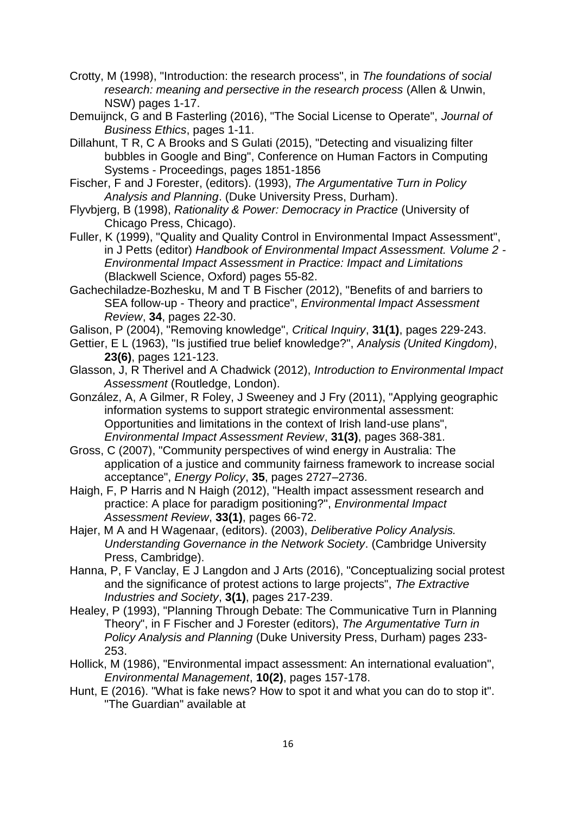- Crotty, M (1998), "Introduction: the research process", in *The foundations of social research: meaning and persective in the research process* (Allen & Unwin, NSW) pages 1-17.
- Demuijnck, G and B Fasterling (2016), "The Social License to Operate", *Journal of Business Ethics*, pages 1-11.
- Dillahunt, T R, C A Brooks and S Gulati (2015), "Detecting and visualizing filter bubbles in Google and Bing", Conference on Human Factors in Computing Systems - Proceedings, pages 1851-1856
- Fischer, F and J Forester, (editors). (1993), *The Argumentative Turn in Policy Analysis and Planning*. (Duke University Press, Durham).
- Flyvbjerg, B (1998), *Rationality & Power: Democracy in Practice* (University of Chicago Press, Chicago).
- Fuller, K (1999), "Quality and Quality Control in Environmental Impact Assessment", in J Petts (editor) *Handbook of Environmental Impact Assessment. Volume 2 - Environmental Impact Assessment in Practice: Impact and Limitations* (Blackwell Science, Oxford) pages 55-82.
- Gachechiladze-Bozhesku, M and T B Fischer (2012), "Benefits of and barriers to SEA follow-up - Theory and practice", *Environmental Impact Assessment Review*, **34**, pages 22-30.
- Galison, P (2004), "Removing knowledge", *Critical Inquiry*, **31(1)**, pages 229-243.
- Gettier, E L (1963), "Is justified true belief knowledge?", *Analysis (United Kingdom)*, **23(6)**, pages 121-123.
- Glasson, J, R Therivel and A Chadwick (2012), *Introduction to Environmental Impact Assessment* (Routledge, London).
- González, A, A Gilmer, R Foley, J Sweeney and J Fry (2011), "Applying geographic information systems to support strategic environmental assessment: Opportunities and limitations in the context of Irish land-use plans", *Environmental Impact Assessment Review*, **31(3)**, pages 368-381.
- Gross, C (2007), "Community perspectives of wind energy in Australia: The application of a justice and community fairness framework to increase social acceptance", *Energy Policy*, **35**, pages 2727–2736.
- Haigh, F, P Harris and N Haigh (2012), "Health impact assessment research and practice: A place for paradigm positioning?", *Environmental Impact Assessment Review*, **33(1)**, pages 66-72.
- Hajer, M A and H Wagenaar, (editors). (2003), *Deliberative Policy Analysis. Understanding Governance in the Network Society*. (Cambridge University Press, Cambridge).
- Hanna, P, F Vanclay, E J Langdon and J Arts (2016), "Conceptualizing social protest and the significance of protest actions to large projects", *The Extractive Industries and Society*, **3(1)**, pages 217-239.
- Healey, P (1993), "Planning Through Debate: The Communicative Turn in Planning Theory", in F Fischer and J Forester (editors), *The Argumentative Turn in Policy Analysis and Planning* (Duke University Press, Durham) pages 233- 253.
- Hollick, M (1986), "Environmental impact assessment: An international evaluation", *Environmental Management*, **10(2)**, pages 157-178.
- Hunt, E (2016). "What is fake news? How to spot it and what you can do to stop it". "The Guardian" available at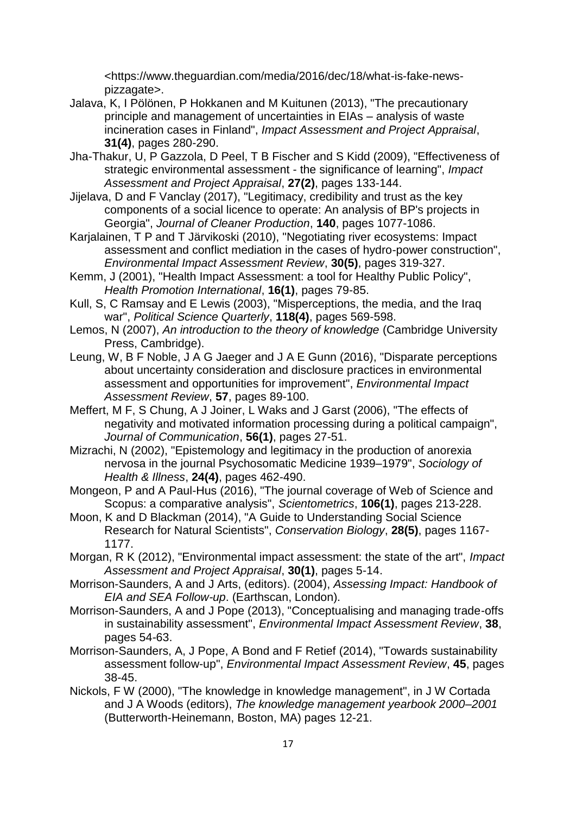<https://www.theguardian.com/media/2016/dec/18/what-is-fake-newspizzagate>.

- Jalava, K, I Pölönen, P Hokkanen and M Kuitunen (2013), "The precautionary principle and management of uncertainties in EIAs – analysis of waste incineration cases in Finland", *Impact Assessment and Project Appraisal*, **31(4)**, pages 280-290.
- Jha-Thakur, U, P Gazzola, D Peel, T B Fischer and S Kidd (2009), "Effectiveness of strategic environmental assessment - the significance of learning", *Impact Assessment and Project Appraisal*, **27(2)**, pages 133-144.
- Jijelava, D and F Vanclay (2017), "Legitimacy, credibility and trust as the key components of a social licence to operate: An analysis of BP's projects in Georgia", *Journal of Cleaner Production*, **140**, pages 1077-1086.
- Karjalainen, T P and T Järvikoski (2010), "Negotiating river ecosystems: Impact assessment and conflict mediation in the cases of hydro-power construction", *Environmental Impact Assessment Review*, **30(5)**, pages 319-327.
- Kemm, J (2001), "Health Impact Assessment: a tool for Healthy Public Policy", *Health Promotion International*, **16(1)**, pages 79-85.
- Kull, S, C Ramsay and E Lewis (2003), "Misperceptions, the media, and the Iraq war", *Political Science Quarterly*, **118(4)**, pages 569-598.
- Lemos, N (2007), *An introduction to the theory of knowledge* (Cambridge University Press, Cambridge).
- Leung, W, B F Noble, J A G Jaeger and J A E Gunn (2016), "Disparate perceptions about uncertainty consideration and disclosure practices in environmental assessment and opportunities for improvement", *Environmental Impact Assessment Review*, **57**, pages 89-100.
- Meffert, M F, S Chung, A J Joiner, L Waks and J Garst (2006), "The effects of negativity and motivated information processing during a political campaign", *Journal of Communication*, **56(1)**, pages 27-51.
- Mizrachi, N (2002), "Epistemology and legitimacy in the production of anorexia nervosa in the journal Psychosomatic Medicine 1939–1979", *Sociology of Health & Illness*, **24(4)**, pages 462-490.
- Mongeon, P and A Paul-Hus (2016), "The journal coverage of Web of Science and Scopus: a comparative analysis", *Scientometrics*, **106(1)**, pages 213-228.
- Moon, K and D Blackman (2014), "A Guide to Understanding Social Science Research for Natural Scientists", *Conservation Biology*, **28(5)**, pages 1167- 1177.
- Morgan, R K (2012), "Environmental impact assessment: the state of the art", *Impact Assessment and Project Appraisal*, **30(1)**, pages 5-14.
- Morrison-Saunders, A and J Arts, (editors). (2004), *Assessing Impact: Handbook of EIA and SEA Follow-up*. (Earthscan, London).
- Morrison-Saunders, A and J Pope (2013), "Conceptualising and managing trade-offs in sustainability assessment", *Environmental Impact Assessment Review*, **38**, pages 54-63.
- Morrison-Saunders, A, J Pope, A Bond and F Retief (2014), "Towards sustainability assessment follow-up", *Environmental Impact Assessment Review*, **45**, pages 38-45.
- Nickols, F W (2000), "The knowledge in knowledge management", in J W Cortada and J A Woods (editors), *The knowledge management yearbook 2000–2001* (Butterworth-Heinemann, Boston, MA) pages 12-21.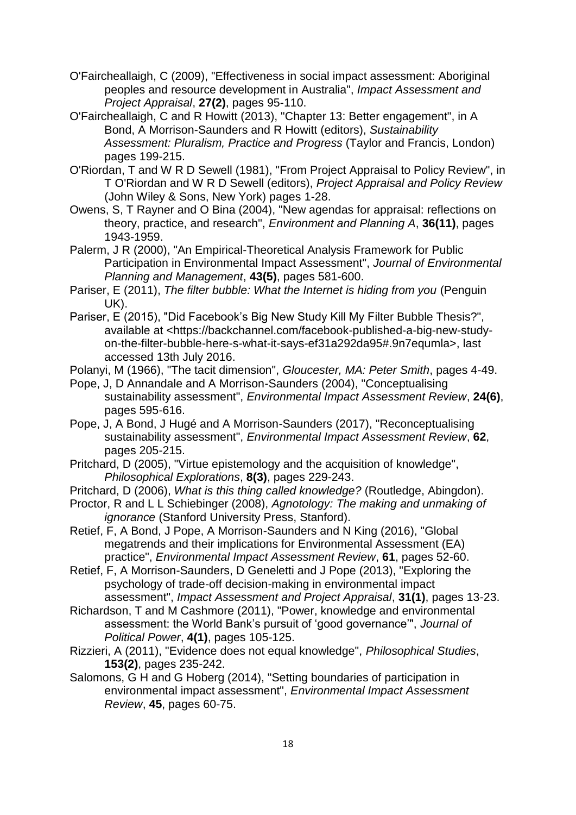- O'Faircheallaigh, C (2009), "Effectiveness in social impact assessment: Aboriginal peoples and resource development in Australia", *Impact Assessment and Project Appraisal*, **27(2)**, pages 95-110.
- O'Faircheallaigh, C and R Howitt (2013), "Chapter 13: Better engagement", in A Bond, A Morrison-Saunders and R Howitt (editors), *Sustainability Assessment: Pluralism, Practice and Progress* (Taylor and Francis, London) pages 199-215.
- O'Riordan, T and W R D Sewell (1981), "From Project Appraisal to Policy Review", in T O'Riordan and W R D Sewell (editors), *Project Appraisal and Policy Review* (John Wiley & Sons, New York) pages 1-28.
- Owens, S, T Rayner and O Bina (2004), "New agendas for appraisal: reflections on theory, practice, and research", *Environment and Planning A*, **36(11)**, pages 1943-1959.
- Palerm, J R (2000), "An Empirical-Theoretical Analysis Framework for Public Participation in Environmental Impact Assessment", *Journal of Environmental Planning and Management*, **43(5)**, pages 581-600.
- Pariser, E (2011), *The filter bubble: What the Internet is hiding from you* (Penguin UK).
- Pariser, E (2015), "Did Facebook's Big New Study Kill My Filter Bubble Thesis?", available at <https://backchannel.com/facebook-published-a-big-new-studyon-the-filter-bubble-here-s-what-it-says-ef31a292da95#.9n7equmla>, last accessed 13th July 2016.
- Polanyi, M (1966), "The tacit dimension", *Gloucester, MA: Peter Smith*, pages 4-49.
- Pope, J, D Annandale and A Morrison-Saunders (2004), "Conceptualising sustainability assessment", *Environmental Impact Assessment Review*, **24(6)**, pages 595-616.
- Pope, J, A Bond, J Hugé and A Morrison-Saunders (2017), "Reconceptualising sustainability assessment", *Environmental Impact Assessment Review*, **62**, pages 205-215.
- Pritchard, D (2005), "Virtue epistemology and the acquisition of knowledge", *Philosophical Explorations*, **8(3)**, pages 229-243.
- Pritchard, D (2006), *What is this thing called knowledge?* (Routledge, Abingdon).
- Proctor, R and L L Schiebinger (2008), *Agnotology: The making and unmaking of ignorance* (Stanford University Press, Stanford).
- Retief, F, A Bond, J Pope, A Morrison-Saunders and N King (2016), "Global megatrends and their implications for Environmental Assessment (EA) practice", *Environmental Impact Assessment Review*, **61**, pages 52-60.

Retief, F, A Morrison-Saunders, D Geneletti and J Pope (2013), "Exploring the psychology of trade-off decision-making in environmental impact assessment", *Impact Assessment and Project Appraisal*, **31(1)**, pages 13-23.

- Richardson, T and M Cashmore (2011), "Power, knowledge and environmental assessment: the World Bank's pursuit of 'good governance'", *Journal of Political Power*, **4(1)**, pages 105-125.
- Rizzieri, A (2011), "Evidence does not equal knowledge", *Philosophical Studies*, **153(2)**, pages 235-242.
- Salomons, G H and G Hoberg (2014), "Setting boundaries of participation in environmental impact assessment", *Environmental Impact Assessment Review*, **45**, pages 60-75.